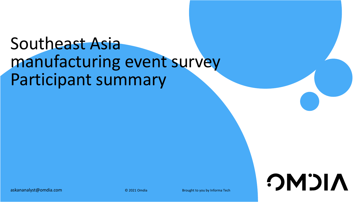# Southeast Asia manufacturing event survey Participant summary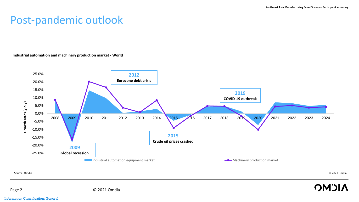### Post-pandemic outlook

#### **Industrial automation and machinery production market - World**



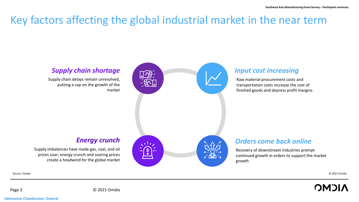# Key factors affecting the global industrial market in the near term



Source: Omdia © 2021 Omdia

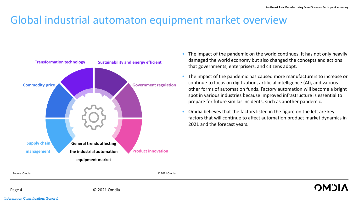### Global industrial automaton equipment market overview



- The impact of the pandemic on the world continues. It has not only heavily damaged the world economy but also changed the concepts and actions that governments, enterprisers, and citizens adopt.
- The impact of the pandemic has caused more manufacturers to increase or continue to focus on digitization, artificial intelligence (AI), and various other forms of automation funds. Factory automation will become a bright spot in various industries because improved infrastructure is essential to prepare for future similar incidents, such as another pandemic.
- Omdia believes that the factors listed in the figure on the left are key factors that will continue to affect automation product market dynamics in 2021 and the forecast years.

Page 4 © 2021 Omdia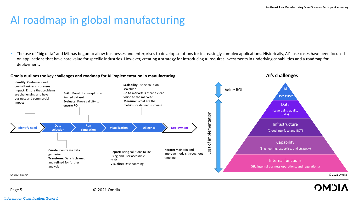**AI's challenges**

## AI roadmap in global manufacturing

• The use of "big data" and ML has begun to allow businesses and enterprises to develop solutions for increasingly complex applications. Historically, AI's use cases have been focused on applications that have core value for specific industries. However, creating a strategy for introducing AI requires investments in underlying capabilities and a roadmap for deployment.

#### **Omdia outlines the key challenges and roadmap for AI implementation in manufacturing**



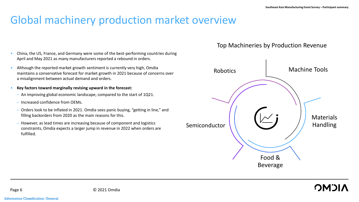# Global machinery production market overview

- China, the US, France, and Germany were some of the best-performing countries during April and May 2021 as many manufacturers reported a rebound in orders.
- Although the reported market growth sentiment is currently very high, Omdia maintains a conservative forecast for market growth in 2021 because of concerns over a misalignment between actual demand and orders.
- **Key factors toward marginally revising upward in the forecast:**
	- An improving global economic landscape, compared to the start of 1Q21.
	- Increased confidence from OEMs.
	- Orders look to be inflated in 2021. Omdia sees panic buying, "getting in line," and filling backorders from 2020 as the main reasons for this.
	- However, as lead times are increasing because of component and logistics constraints, Omdia expects a larger jump in revenue in 2022 when orders are fulfilled.

### Top Machineries by Production Revenue

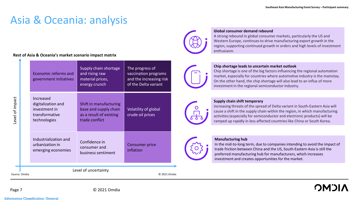### Asia & Oceania: analysis

#### **Rest of Asia & Oceania's market scenario impact matrix**

| evel of impact.      |                               | Economic reforms and<br>government initiatives                                     | Supply chain shortage<br>and rising raw<br>material prices,<br>energy crunch                 | The progress of<br>vaccination programs<br>and the increasing risk<br>of the Delta variant |  |  |  |  |  |
|----------------------|-------------------------------|------------------------------------------------------------------------------------|----------------------------------------------------------------------------------------------|--------------------------------------------------------------------------------------------|--|--|--|--|--|
|                      |                               | Increased<br>digitalization and<br>investment in<br>transformative<br>technologies | Shift in manufacturing<br>base and supply chain<br>as a result of existing<br>trade conflict | Volatility of global<br>crude oil prices                                                   |  |  |  |  |  |
|                      |                               | Industrialization and<br>urbanization in<br>emerging economies                     | Confidence in<br>consumer and<br>business sentiment                                          | <b>Consumer price</b><br>inflation                                                         |  |  |  |  |  |
| Level of uncertainty |                               |                                                                                    |                                                                                              |                                                                                            |  |  |  |  |  |
|                      | Source: Omdia<br>© 2021 Omdia |                                                                                    |                                                                                              |                                                                                            |  |  |  |  |  |



#### **Global consumer demand rebound**

A strong rebound in global consumer markets, particularly the US and Western Europe, continues to drive manufacturing export growth in the region, supporting continued growth in orders and high levels of investment enthusiasm.



#### **Chip shortage leads to uncertain market outlook**

Chip shortage is one of the big factors influencing the regional automation market, especially for countries where automotive industry is the mainstay. On the other hand, the chip shortage will also lead to an influx of more investment in the regional semiconductor industry.



#### **Supply chain shift temporary**

increasing threats of the spread of Delta variant in South-Eastern Asia will cause a shift in the supply chain within the region, in which manufacturing activities (especially for semiconductor and electronic products) will be ramped up rapidly in less affected countries like China or South Korea.

#### **Manufacturing hub**

In the mid-to-long term, due to companies intending to avoid the impact of trade friction between China and the US, South-Eastern Asia is still the preferred manufacturing hub for manufacturers, which increases investment and creates opportunities for the market.

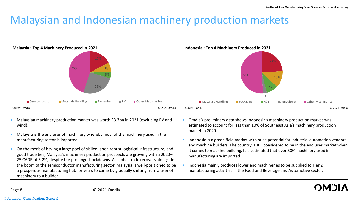### Malaysian and Indonesian machinery production markets



- Malaysian machinery production market was worth \$3.7bn in 2021 (excluding PV and wind).
- Malaysia is the end user of machinery whereby most of the machinery used in the manufacturing sector is imported.
- On the merit of having a large pool of skilled labor, robust logistical infrastructure, and good trade ties, Malaysia's machinery production prospects are growing with a 2020– 25 CAGR of 3.2%, despite the prolonged lockdowns. As global trade recovers alongside the boom of the semiconductor manufacturing sector, Malaysia is well-positioned to be a prosperous manufacturing hub for years to come by gradually shifting from a user of machinery to a builder.
- Omdia's preliminary data shows Indonesia's machinery production market was estimated to account for less than 10% of Southeast Asia's machinery production market in 2020.
- Indonesia is a green field market with huge potential for industrial automation vendors and machine builders. The country is still considered to be in the end user market when it comes to machine building. It is estimated that over 80% machinery used in manufacturing are imported.
- Indonesia mainly produces lower end machineries to be supplied to Tier 2 manufacturing activities in the Food and Beverage and Automotive sector.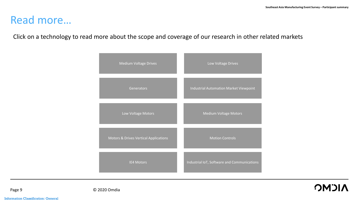### Read more…

Click on a technology to read more about the scope and coverage of our research in other related markets

| <b>Medium Voltage Drives</b>                     | Low Voltage Drives                          |
|--------------------------------------------------|---------------------------------------------|
| Generators                                       | Industrial Automation Market Viewpoint      |
| Low Voltage Motors                               | <b>Medium Voltage Motors</b>                |
| <b>Motors &amp; Drives Vertical Applications</b> | <b>Motion Controls</b>                      |
| <b>IE4 Motors</b>                                | Industrial IoT, Software and Communications |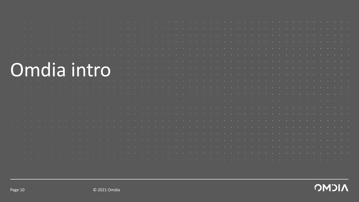| Omdia intro |  |  |  |
|-------------|--|--|--|
|             |  |  |  |
|             |  |  |  |
|             |  |  |  |
|             |  |  |  |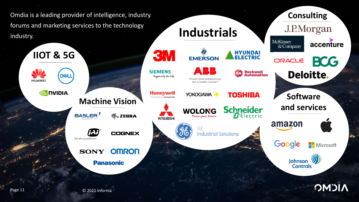**Consulting**Omdia is a leading provider of intelligence, industry forums and marketing services to the technology J.P.Morgan **Industrials**  industry. McKinsey accenture  $\&$  Company **HYUNDAI**<br>ELECTRIC **3M IIOT & 5G EMERSON BCG** ORACLE A K K **SIEMENS Rockwell**<br>**Automation Deloitte.** RA **DELL** Ingenuity for Life Power and productivity **HUAWE** for a better world<sup>™</sup> **EX NVIDIA. Honevwell** YOKOGAWA O **TOSHIBA Software and services**<br>
Machine Vision **and Services MOLONG** Schneider and services शैं**: ZEBRA** Power your future **MITSUBISHI** amazon **GE COGNEX Industrial Solutions** See the possibilities Google Microsoft **OMRON SONY** Johnson **W Panasonic Controls OMDIA** Page 11 © 2021 Informa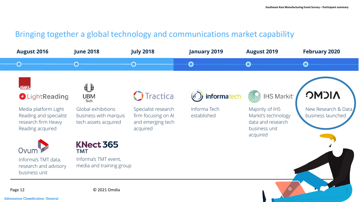### Bringing together a global technology and communications market capability

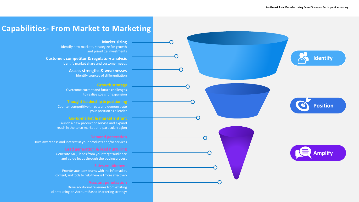### **Capabilities- From Market to Marketing**

**Market sizing** Identify new markets, strategize for growth and prioritize investments

**Customer, competitor & regulatory analysis** Identify market share and customer needs

> **Assess strengths & weaknesses** Identify sources of differentiation

Overcome current and future challenges to realize goals for expansion

Counter competitive threats and demonstrate your position as a leader

**Go-to-market & market entrant** Launch a new product or service and expand reach in the telco market or a particularregion

Drive awareness and interest in your products and/or services

Generate MQL leads from your targetaudience and guide leads through the buying process

Provide your sales teams with the information, content, and tools to help them sell more effectively

Drive additional revenues from existing clients using an Account Based Marketing strategy **Identify Position Amplify**